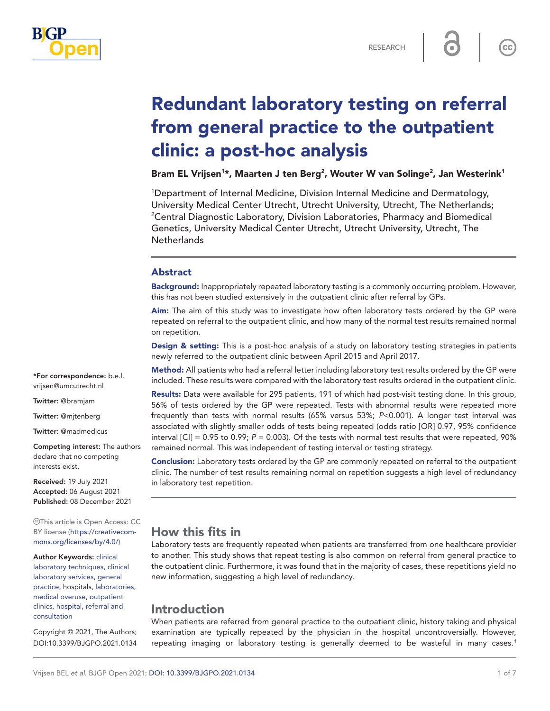

 $cc$ 

# Redundant laboratory testing on referral from general practice to the outpatient clinic: a post-hoc analysis

Bram EL Vrijsen<sup>1</sup>\*, Maarten J ten Berg<sup>2</sup>, Wouter W van Solinge<sup>2</sup>, Jan Westerink<sup>1</sup>

1 Department of Internal Medicine, Division Internal Medicine and Dermatology, University Medical Center Utrecht, Utrecht University, Utrecht, The Netherlands; <sup>2</sup>Central Diagnostic Laboratory, Division Laboratories, Pharmacy and Biomedical Genetics, University Medical Center Utrecht, Utrecht University, Utrecht, The **Netherlands** 

## Abstract

Background: Inappropriately repeated laboratory testing is a commonly occurring problem. However, this has not been studied extensively in the outpatient clinic after referral by GPs.

Aim: The aim of this study was to investigate how often laboratory tests ordered by the GP were repeated on referral to the outpatient clinic, and how many of the normal test results remained normal on repetition.

Design & setting: This is a post-hoc analysis of a study on laboratory testing strategies in patients newly referred to the outpatient clinic between April 2015 and April 2017.

Method: All patients who had a referral letter including laboratory test results ordered by the GP were included. These results were compared with the laboratory test results ordered in the outpatient clinic.

Results: Data were available for 295 patients, 191 of which had post-visit testing done. In this group, 56% of tests ordered by the GP were repeated. Tests with abnormal results were repeated more frequently than tests with normal results (65% versus 53%; *P*<0.001). A longer test interval was associated with slightly smaller odds of tests being repeated (odds ratio [OR] 0.97, 95% confidence interval  $\text{[C]} = 0.95$  to 0.99;  $P = 0.003$ ). Of the tests with normal test results that were repeated, 90% remained normal. This was independent of testing interval or testing strategy.

Conclusion: Laboratory tests ordered by the GP are commonly repeated on referral to the outpatient clinic. The number of test results remaining normal on repetition suggests a high level of redundancy in laboratory test repetition.

# How this fits in

Laboratory tests are frequently repeated when patients are transferred from one healthcare provider to another. This study shows that repeat testing is also common on referral from general practice to the outpatient clinic. Furthermore, it was found that in the majority of cases, these repetitions yield no new information, suggesting a high level of redundancy.

## Introduction

When patients are referred from general practice to the outpatient clinic, history taking and physical examination are typically repeated by the physician in the hospital uncontroversially. However, repeating imaging or laboratory testing is generally deemed to be wasteful in many cases.*[1](#page-5-0)*

\*For correspondence: [b.e.l.](mailto:b.e.l.vrijsen@umcutrecht.nl) [vrijsen@umcutrecht.nl](mailto:b.e.l.vrijsen@umcutrecht.nl)

Twitter: @bramjam

Twitter: @mjtenberg

Twitter: @madmedicus

Competing interest: The authors declare that no competing interests exist.

Received: 19 July 2021 Accepted: 06 August 2021 Published: 08 December 2021

This article is Open Access: CC BY license [\(https://creativecom](https://creativecommons.org/licenses/by/4.0/)[mons.org/licenses/by/4.0/\)](https://creativecommons.org/licenses/by/4.0/)

Author Keywords: [clinical](https://meshb.nlm.nih.gov/record/ui?ui=D019411)  [laboratory techniques](https://meshb.nlm.nih.gov/record/ui?ui=D019411), [clinical](https://meshb.nlm.nih.gov/record/ui?name=Clinical%20Laboratory%20Services)  [laboratory services](https://meshb.nlm.nih.gov/record/ui?name=Clinical%20Laboratory%20Services), [general](https://meshb.nlm.nih.gov/record/ui?ui=D058006)  [practice,](https://meshb.nlm.nih.gov/record/ui?ui=D058006) hospitals, [laboratories](https://meshb.nlm.nih.gov/record/ui?name=Laboratories), [medical overuse](https://meshb.nlm.nih.gov/record/ui?ui=D000069342), [outpatient](https://meshb.nlm.nih.gov/record/ui?ui=D010044)  [clinics, hospital](https://meshb.nlm.nih.gov/record/ui?ui=D010044), [referral and](https://meshb.nlm.nih.gov/record/ui?ui=D012017)  [consultation](https://meshb.nlm.nih.gov/record/ui?ui=D012017)

Copyright © 2021, The Authors; DOI:10.3399/BJGPO.2021.0134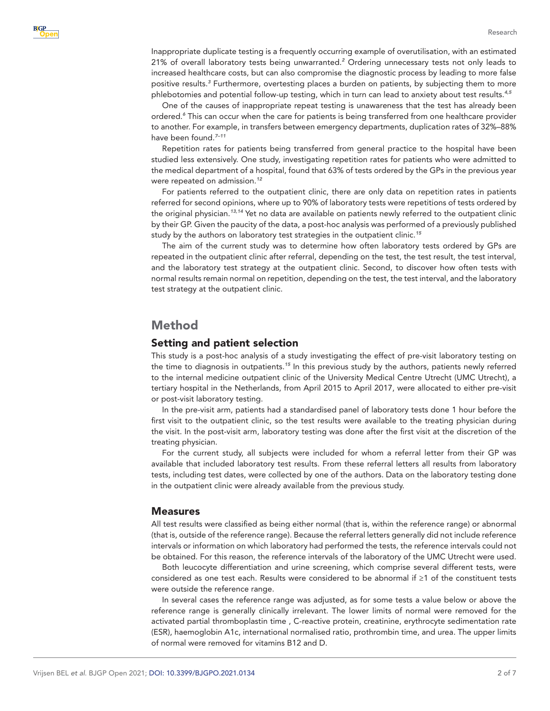Inappropriate duplicate testing is a frequently occurring example of overutilisation, with an estimated [2](#page-5-1)1% of overall laboratory tests being unwarranted.<sup>2</sup> Ordering unnecessary tests not only leads to increased healthcare costs, but can also compromise the diagnostic process by leading to more false positive results.*[3](#page-6-0)* Furthermore, overtesting places a burden on patients, by subjecting them to more phlebotomies and potential follow-up testing, which in turn can lead to anxiety about test results.*[4,5](#page-6-1)*

One of the causes of inappropriate repeat testing is unawareness that the test has already been ordered.*[6](#page-6-2)* This can occur when the care for patients is being transferred from one healthcare provider to another. For example, in transfers between emergency departments, duplication rates of 32%–88% have been found.*[7–11](#page-6-3)*

Repetition rates for patients being transferred from general practice to the hospital have been studied less extensively. One study, investigating repetition rates for patients who were admitted to the medical department of a hospital, found that 63% of tests ordered by the GPs in the previous year were repeated on admission.*[12](#page-6-4)*

For patients referred to the outpatient clinic, there are only data on repetition rates in patients referred for second opinions, where up to 90% of laboratory tests were repetitions of tests ordered by the original physician.*[13,14](#page-6-5)* Yet no data are available on patients newly referred to the outpatient clinic by their GP. Given the paucity of the data, a post-hoc analysis was performed of a previously published study by the authors on laboratory test strategies in the outpatient clinic.*[15](#page-6-6)*

The aim of the current study was to determine how often laboratory tests ordered by GPs are repeated in the outpatient clinic after referral, depending on the test, the test result, the test interval, and the laboratory test strategy at the outpatient clinic. Second, to discover how often tests with normal results remain normal on repetition, depending on the test, the test interval, and the laboratory test strategy at the outpatient clinic.

## Method

#### Setting and patient selection

This study is a post-hoc analysis of a study investigating the effect of pre-visit laboratory testing on the time to diagnosis in outpatients.*[15](#page-6-6)* In this previous study by the authors, patients newly referred to the internal medicine outpatient clinic of the University Medical Centre Utrecht (UMC Utrecht), a tertiary hospital in the Netherlands, from April 2015 to April 2017, were allocated to either pre-visit or post-visit laboratory testing.

In the pre-visit arm, patients had a standardised panel of laboratory tests done 1 hour before the first visit to the outpatient clinic, so the test results were available to the treating physician during the visit. In the post-visit arm, laboratory testing was done after the first visit at the discretion of the treating physician.

For the current study, all subjects were included for whom a referral letter from their GP was available that included laboratory test results. From these referral letters all results from laboratory tests, including test dates, were collected by one of the authors. Data on the laboratory testing done in the outpatient clinic were already available from the previous study.

#### Measures

All test results were classified as being either normal (that is, within the reference range) or abnormal (that is, outside of the reference range). Because the referral letters generally did not include reference intervals or information on which laboratory had performed the tests, the reference intervals could not be obtained. For this reason, the reference intervals of the laboratory of the UMC Utrecht were used.

Both leucocyte differentiation and urine screening, which comprise several different tests, were considered as one test each. Results were considered to be abnormal if ≥1 of the constituent tests were outside the reference range.

In several cases the reference range was adjusted, as for some tests a value below or above the reference range is generally clinically irrelevant. The lower limits of normal were removed for the activated partial thromboplastin time , C-reactive protein, creatinine, erythrocyte sedimentation rate (ESR), haemoglobin A1c, international normalised ratio, prothrombin time, and urea. The upper limits of normal were removed for vitamins B12 and D.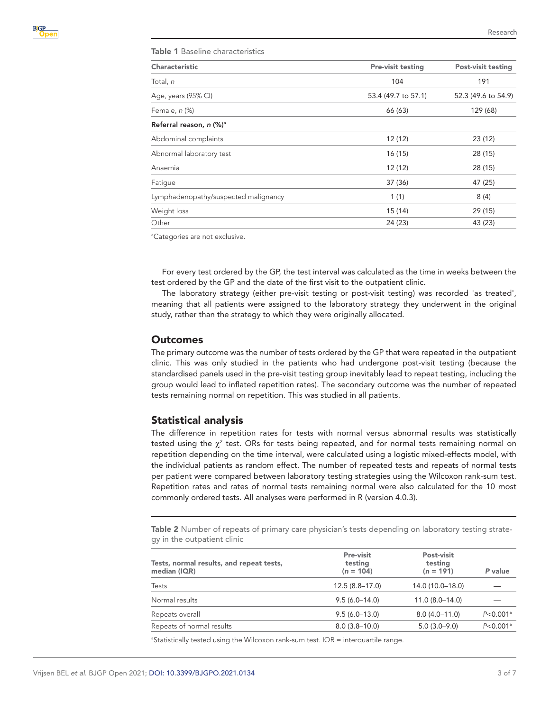<span id="page-2-0"></span>

| Table 1 Baseline characteristics     |                          |                           |  |  |
|--------------------------------------|--------------------------|---------------------------|--|--|
| Characteristic                       | <b>Pre-visit testing</b> | <b>Post-visit testing</b> |  |  |
| Total, n                             | 104                      | 191                       |  |  |
| Age, years (95% CI)                  | 53.4 (49.7 to 57.1)      | 52.3 (49.6 to 54.9)       |  |  |
| Female, n (%)                        | 66 (63)                  | 129 (68)                  |  |  |
| Referral reason, n (%) <sup>a</sup>  |                          |                           |  |  |
| Abdominal complaints                 | 12 (12)                  | 23(12)                    |  |  |
| Abnormal laboratory test             | 16(15)                   | 28 (15)                   |  |  |
| Anaemia                              | 12 (12)                  | 28 (15)                   |  |  |
| Fatique                              | 37 (36)                  | 47 (25)                   |  |  |
| Lymphadenopathy/suspected malignancy | 1(1)                     | 8(4)                      |  |  |
| Weight loss                          | 15 (14)                  | 29 (15)                   |  |  |
| Other                                | 24 (23)                  | 43 (23)                   |  |  |

<sup>a</sup>Categories are not exclusive.

For every test ordered by the GP, the test interval was calculated as the time in weeks between the test ordered by the GP and the date of the first visit to the outpatient clinic.

The laboratory strategy (either pre-visit testing or post-visit testing) was recorded 'as treated', meaning that all patients were assigned to the laboratory strategy they underwent in the original study, rather than the strategy to which they were originally allocated.

#### Outcomes

The primary outcome was the number of tests ordered by the GP that were repeated in the outpatient clinic. This was only studied in the patients who had undergone post-visit testing (because the standardised panels used in the pre-visit testing group inevitably lead to repeat testing, including the group would lead to inflated repetition rates). The secondary outcome was the number of repeated tests remaining normal on repetition. This was studied in all patients.

#### Statistical analysis

The difference in repetition rates for tests with normal versus abnormal results was statistically tested using the  $\chi^2$  test. ORs for tests being repeated, and for normal tests remaining normal on repetition depending on the time interval, were calculated using a logistic mixed-effects model, with the individual patients as random effect. The number of repeated tests and repeats of normal tests per patient were compared between laboratory testing strategies using the Wilcoxon rank-sum test. Repetition rates and rates of normal tests remaining normal were also calculated for the 10 most commonly ordered tests. All analyses were performed in R (version 4.0.3).

<span id="page-2-1"></span>**Table 2** Number of repeats of primary care physician's tests depending on laboratory testing strategy in the outpatient clinic

| Tests, normal results, and repeat tests,<br>median (IQR) | Pre-visit<br>testing<br>$(n = 104)$ | Post-visit<br>testing<br>$(n = 191)$ | P value                  |
|----------------------------------------------------------|-------------------------------------|--------------------------------------|--------------------------|
| <b>Tests</b>                                             | $12.5(8.8 - 17.0)$                  | 14.0 (10.0-18.0)                     |                          |
| Normal results                                           | $9.5(6.0 - 14.0)$                   | $11.0(8.0 - 14.0)$                   |                          |
| Repeats overall                                          | $9.5(6.0-13.0)$                     | $8.0(4.0 - 11.0)$                    | $P < 0.001$ <sup>a</sup> |
| Repeats of normal results                                | $8.0(3.8 - 10.0)$                   | $5.0(3.0-9.0)$                       | $P < 0.001$ <sup>a</sup> |

<sup>a</sup>Statistically tested using the Wilcoxon rank-sum test. IQR = interquartile range.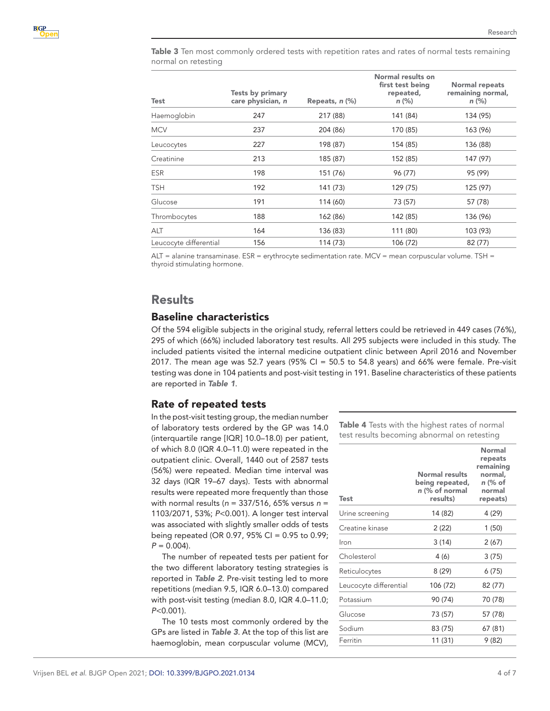<span id="page-3-0"></span>Table 3 Ten most commonly ordered tests with repetition rates and rates of normal tests remaining normal on retesting

| Test                   | Tests by primary<br>care physician, n | Repeats, $n$ $(\%)$ | Normal results on<br>first test being<br>repeated,<br>$n$ (%) | Normal repeats<br>remaining normal,<br>$n$ (%) |
|------------------------|---------------------------------------|---------------------|---------------------------------------------------------------|------------------------------------------------|
| Haemoglobin            | 247                                   | 217 (88)            | 141 (84)                                                      | 134 (95)                                       |
| <b>MCV</b>             | 237                                   | 204 (86)            | 170 (85)                                                      | 163 (96)                                       |
| Leucocytes             | 227                                   | 198 (87)            | 154 (85)                                                      | 136 (88)                                       |
| Creatinine             | 213                                   | 185 (87)            | 152 (85)                                                      | 147 (97)                                       |
| ESR                    | 198                                   | 151 (76)            | 96 (77)                                                       | 95 (99)                                        |
| TSH                    | 192                                   | 141 (73)            | 129 (75)                                                      | 125 (97)                                       |
| Glucose                | 191                                   | 114 (60)            | 73 (57)                                                       | 57 (78)                                        |
| Thrombocytes           | 188                                   | 162 (86)            | 142 (85)                                                      | 136 (96)                                       |
| <b>ALT</b>             | 164                                   | 136 (83)            | 111 (80)                                                      | 103 (93)                                       |
| Leucocyte differential | 156                                   | 114 (73)            | 106 (72)                                                      | 82 (77)                                        |
|                        |                                       |                     |                                                               |                                                |

ALT = alanine transaminase. ESR = erythrocyte sedimentation rate. MCV = mean corpuscular volume. TSH = thyroid stimulating hormone.

## Results

## Baseline characteristics

Of the 594 eligible subjects in the original study, referral letters could be retrieved in 449 cases (76%), 295 of which (66%) included laboratory test results. All 295 subjects were included in this study. The included patients visited the internal medicine outpatient clinic between April 2016 and November 2017. The mean age was 52.7 years ( $95\%$  CI = 50.5 to 54.8 years) and 66% were female. Pre-visit testing was done in 104 patients and post-visit testing in 191. Baseline characteristics of these patients are reported in *[Table 1](#page-2-0)*.

## Rate of repeated tests

In the post-visit testing group, the median number of laboratory tests ordered by the GP was 14.0 (interquartile range [IQR] 10.0–18.0) per patient, of which 8.0 (IQR 4.0–11.0) were repeated in the outpatient clinic. Overall, 1440 out of 2587 tests (56%) were repeated. Median time interval was 32 days (IQR 19–67 days). Tests with abnormal results were repeated more frequently than those with normal results (*n* = 337/516, 65% versus *n* = 1103/2071, 53%; *P*<0.001). A longer test interval was associated with slightly smaller odds of tests being repeated (OR 0.97, 95% CI =  $0.95$  to 0.99;  $P = 0.004$ .

The number of repeated tests per patient for the two different laboratory testing strategies is reported in *[Table 2](#page-2-1)*. Pre-visit testing led to more repetitions (median 9.5, IQR 6.0–13.0) compared with post-visit testing (median 8.0, IQR 4.0–11.0; *P*<0.001).

The 10 tests most commonly ordered by the GPs are listed in *[Table 3](#page-3-0)*. At the top of this list are haemoglobin, mean corpuscular volume (MCV), <span id="page-3-1"></span>Table 4 Tests with the highest rates of normal test results becoming abnormal on retesting

| Test                   | Normal results<br>being repeated,<br>n (% of normal<br>results) | Normal<br>repeats<br>remaining<br>normal,<br>n (% of<br>normal<br>repeats) |
|------------------------|-----------------------------------------------------------------|----------------------------------------------------------------------------|
| Urine screening        | 14 (82)                                                         | 4 (29)                                                                     |
| Creatine kinase        | 2(22)                                                           | 1(50)                                                                      |
| Ir∩n                   | 3(14)                                                           | 2(67)                                                                      |
| Cholesterol            | 4(6)                                                            | 3(75)                                                                      |
| Reticulocytes          | 8 (29)                                                          | 6 (75)                                                                     |
| Leucocyte differential | 106 (72)                                                        | 82 (77)                                                                    |
| Potassium              | 90 (74)                                                         | 70 (78)                                                                    |
| Glucose                | 73 (57)                                                         | 57 (78)                                                                    |
| Sodium                 | 83 (75)                                                         | 67 (81)                                                                    |
| Ferritin               | 11 (31)                                                         | 9(82)                                                                      |
|                        |                                                                 |                                                                            |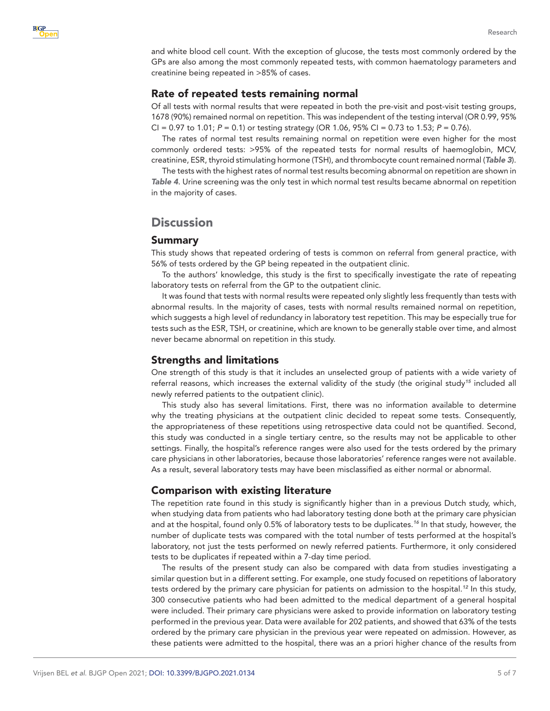

and white blood cell count. With the exception of glucose, the tests most commonly ordered by the GPs are also among the most commonly repeated tests, with common haematology parameters and creatinine being repeated in >85% of cases.

## Rate of repeated tests remaining normal

Of all tests with normal results that were repeated in both the pre-visit and post-visit testing groups, 1678 (90%) remained normal on repetition. This was independent of the testing interval (OR 0.99, 95% CI = 0.97 to 1.01; *P* = 0.1) or testing strategy (OR 1.06, 95% CI = 0.73 to 1.53; *P* = 0.76).

The rates of normal test results remaining normal on repetition were even higher for the most commonly ordered tests: >95% of the repeated tests for normal results of haemoglobin, MCV, creatinine, ESR, thyroid stimulating hormone (TSH), and thrombocyte count remained normal (*[Table 3](#page-3-0)*).

The tests with the highest rates of normal test results becoming abnormal on repetition are shown in *[Table 4](#page-3-1)*. Urine screening was the only test in which normal test results became abnormal on repetition in the majority of cases.

# **Discussion**

#### Summary

This study shows that repeated ordering of tests is common on referral from general practice, with 56% of tests ordered by the GP being repeated in the outpatient clinic.

To the authors' knowledge, this study is the first to specifically investigate the rate of repeating laboratory tests on referral from the GP to the outpatient clinic.

It was found that tests with normal results were repeated only slightly less frequently than tests with abnormal results. In the majority of cases, tests with normal results remained normal on repetition, which suggests a high level of redundancy in laboratory test repetition. This may be especially true for tests such as the ESR, TSH, or creatinine, which are known to be generally stable over time, and almost never became abnormal on repetition in this study.

#### Strengths and limitations

One strength of this study is that it includes an unselected group of patients with a wide variety of referral reasons, which increases the external validity of the study (the original study*[15](#page-6-6)* included all newly referred patients to the outpatient clinic).

This study also has several limitations. First, there was no information available to determine why the treating physicians at the outpatient clinic decided to repeat some tests. Consequently, the appropriateness of these repetitions using retrospective data could not be quantified. Second, this study was conducted in a single tertiary centre, so the results may not be applicable to other settings. Finally, the hospital's reference ranges were also used for the tests ordered by the primary care physicians in other laboratories, because those laboratories' reference ranges were not available. As a result, several laboratory tests may have been misclassified as either normal or abnormal.

## Comparison with existing literature

The repetition rate found in this study is significantly higher than in a previous Dutch study, which, when studying data from patients who had laboratory testing done both at the primary care physician and at the hospital, found only 0.5% of laboratory tests to be duplicates.*[16](#page-6-7)* In that study, however, the number of duplicate tests was compared with the total number of tests performed at the hospital's laboratory, not just the tests performed on newly referred patients. Furthermore, it only considered tests to be duplicates if repeated within a 7-day time period.

The results of the present study can also be compared with data from studies investigating a similar question but in a different setting. For example, one study focused on repetitions of laboratory tests ordered by the primary care physician for patients on admission to the hospital.*[12](#page-6-4)* In this study, 300 consecutive patients who had been admitted to the medical department of a general hospital were included. Their primary care physicians were asked to provide information on laboratory testing performed in the previous year. Data were available for 202 patients, and showed that 63% of the tests ordered by the primary care physician in the previous year were repeated on admission. However, as these patients were admitted to the hospital, there was an a priori higher chance of the results from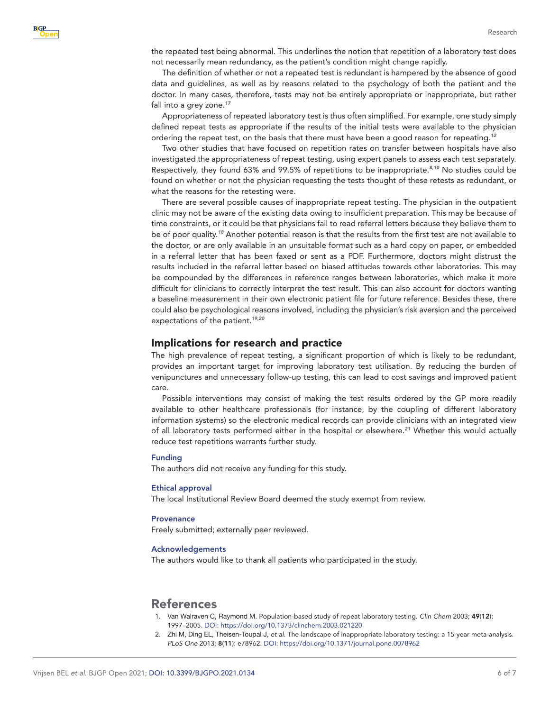the repeated test being abnormal. This underlines the notion that repetition of a laboratory test does not necessarily mean redundancy, as the patient's condition might change rapidly.

The definition of whether or not a repeated test is redundant is hampered by the absence of good data and guidelines, as well as by reasons related to the psychology of both the patient and the doctor. In many cases, therefore, tests may not be entirely appropriate or inappropriate, but rather fall into a grey zone.*[17](#page-6-8)*

Appropriateness of repeated laboratory test is thus often simplified. For example, one study simply defined repeat tests as appropriate if the results of the initial tests were available to the physician ordering the repeat test, on the basis that there must have been a good reason for repeating.*[12](#page-6-4)*

Two other studies that have focused on repetition rates on transfer between hospitals have also investigated the appropriateness of repeat testing, using expert panels to assess each test separately. Respectively, they found 63% and 99.5% of repetitions to be inappropriate.*[8,10](#page-6-9)* No studies could be found on whether or not the physician requesting the tests thought of these retests as redundant, or what the reasons for the retesting were.

There are several possible causes of inappropriate repeat testing. The physician in the outpatient clinic may not be aware of the existing data owing to insufficient preparation. This may be because of time constraints, or it could be that physicians fail to read referral letters because they believe them to be of poor quality.*[18](#page-6-10)* Another potential reason is that the results from the first test are not available to the doctor, or are only available in an unsuitable format such as a hard copy on paper, or embedded in a referral letter that has been faxed or sent as a PDF. Furthermore, doctors might distrust the results included in the referral letter based on biased attitudes towards other laboratories. This may be compounded by the differences in reference ranges between laboratories, which make it more difficult for clinicians to correctly interpret the test result. This can also account for doctors wanting a baseline measurement in their own electronic patient file for future reference. Besides these, there could also be psychological reasons involved, including the physician's risk aversion and the perceived expectations of the patient.*[19,20](#page-6-11)*

#### Implications for research and practice

The high prevalence of repeat testing, a significant proportion of which is likely to be redundant, provides an important target for improving laboratory test utilisation. By reducing the burden of venipunctures and unnecessary follow-up testing, this can lead to cost savings and improved patient care.

Possible interventions may consist of making the test results ordered by the GP more readily available to other healthcare professionals (for instance, by the coupling of different laboratory information systems) so the electronic medical records can provide clinicians with an integrated view of all laboratory tests performed either in the hospital or elsewhere.*[21](#page-6-12)* Whether this would actually reduce test repetitions warrants further study.

#### Funding

The authors did not receive any funding for this study.

#### Ethical approval

The local Institutional Review Board deemed the study exempt from review.

#### **Provenance**

Freely submitted; externally peer reviewed.

#### Acknowledgements

The authors would like to thank all patients who participated in the study.

# References

- <span id="page-5-0"></span>1. Van Walraven C, Raymond M. Population-based study of repeat laboratory testing. *Clin Chem* 2003; 49(12): 1997–2005. DOI: <https://doi.org/10.1373/clinchem.2003.021220>
- <span id="page-5-1"></span>2. Zhi M, Ding EL, Theisen-Toupal J, *et al*. The landscape of inappropriate laboratory testing: a 15-year meta-analysis. *PLoS One* 2013; 8(11): e78962. DOI: <https://doi.org/10.1371/journal.pone.0078962>